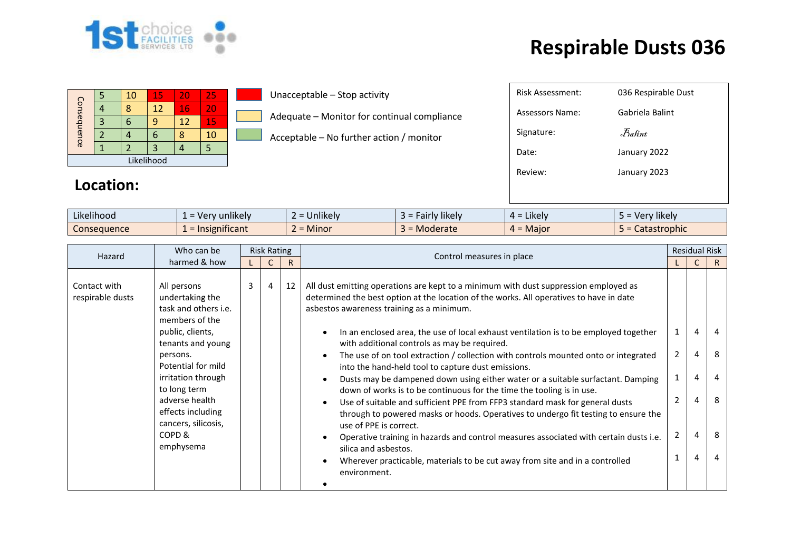

## **Respirable Dusts 036**

|             |  | 10 | 15       | 20 | 25 |  |  |
|-------------|--|----|----------|----|----|--|--|
| Consequence |  |    | 16<br>12 |    |    |  |  |
|             |  |    |          | 12 | 15 |  |  |
|             |  |    | ۰        |    | 10 |  |  |
|             |  |    |          |    |    |  |  |
| Likelihood  |  |    |          |    |    |  |  |

**Location:** 

Unacceptable – Stop activity

Adequate – Monitor for continual compliance

Acceptable – No further action / monitor

| Likelihood         | $\cdots$<br>unlikelv<br>$\cdot$<br>. M | .<br>Unlikely             | <b>likely</b><br>, airiv | $\cdots$<br>$=$ Likely<br>ட. | $\cdots$<br>' likely<br>- Ver |
|--------------------|----------------------------------------|---------------------------|--------------------------|------------------------------|-------------------------------|
| <b>Consequence</b> | nıfıcant<br><b>Insigr</b>              | $\bullet$<br><b>Minor</b> | Moderate<br>-            | . Maior<br>$\mathbf{H}$      | <b>rophic</b>                 |

| Who can be<br>Hazard                                                                                                                                                                                                                                                                                               |  | <b>Risk Rating</b> |                                                                                                                                                                                                                                                                                                               |                                  |                                                                                                                                                                                                                                                                                                                                                                                                                                                                                                                                                                                                                                                                               |                | <b>Residual Risk</b> |             |
|--------------------------------------------------------------------------------------------------------------------------------------------------------------------------------------------------------------------------------------------------------------------------------------------------------------------|--|--------------------|---------------------------------------------------------------------------------------------------------------------------------------------------------------------------------------------------------------------------------------------------------------------------------------------------------------|----------------------------------|-------------------------------------------------------------------------------------------------------------------------------------------------------------------------------------------------------------------------------------------------------------------------------------------------------------------------------------------------------------------------------------------------------------------------------------------------------------------------------------------------------------------------------------------------------------------------------------------------------------------------------------------------------------------------------|----------------|----------------------|-------------|
| harmed & how                                                                                                                                                                                                                                                                                                       |  |                    |                                                                                                                                                                                                                                                                                                               | R                                | Control measures in place                                                                                                                                                                                                                                                                                                                                                                                                                                                                                                                                                                                                                                                     |                |                      | R.          |
| All persons<br>Contact with<br>undertaking the<br>respirable dusts<br>task and others i.e.<br>members of the<br>public, clients,<br>tenants and young<br>persons.<br>Potential for mild<br>irritation through<br>to long term<br>adverse health<br>effects including<br>cancers, silicosis,<br>COPD &<br>emphysema |  | 3                  | $\overline{4}$                                                                                                                                                                                                                                                                                                | 12                               | All dust emitting operations are kept to a minimum with dust suppression employed as<br>determined the best option at the location of the works. All operatives to have in date<br>asbestos awareness training as a minimum.<br>In an enclosed area, the use of local exhaust ventilation is to be employed together<br>with additional controls as may be required.<br>The use of on tool extraction / collection with controls mounted onto or integrated<br>into the hand-held tool to capture dust emissions.<br>Dusts may be dampened down using either water or a suitable surfactant. Damping<br>down of works is to be continuous for the time the tooling is in use. | $\overline{2}$ | 4<br>4<br>4          | 4<br>8<br>4 |
|                                                                                                                                                                                                                                                                                                                    |  |                    | Use of suitable and sufficient PPE from FFP3 standard mask for general dusts<br>through to powered masks or hoods. Operatives to undergo fit testing to ensure the<br>use of PPE is correct.<br>Operative training in hazards and control measures associated with certain dusts i.e.<br>silica and asbestos. | $\overline{2}$<br>$\overline{2}$ | 4<br>4                                                                                                                                                                                                                                                                                                                                                                                                                                                                                                                                                                                                                                                                        | 8<br>8         |                      |             |
|                                                                                                                                                                                                                                                                                                                    |  |                    |                                                                                                                                                                                                                                                                                                               |                                  | Wherever practicable, materials to be cut away from site and in a controlled<br>environment.                                                                                                                                                                                                                                                                                                                                                                                                                                                                                                                                                                                  |                | 4                    | 4           |